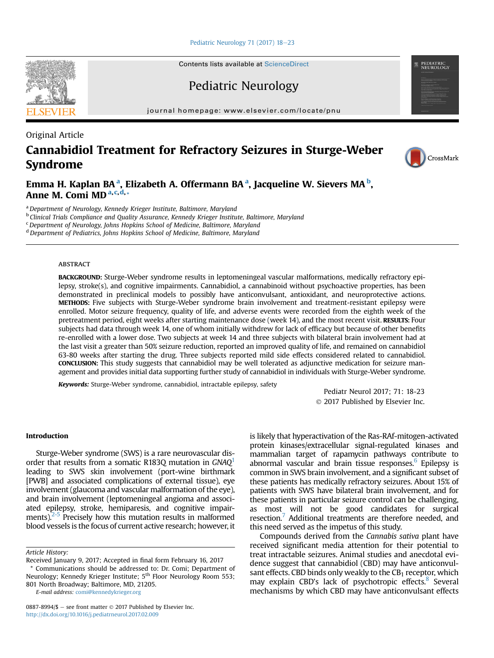[Pediatric Neurology 71 \(2017\) 18](http://dx.doi.org/10.1016/j.pediatrneurol.2017.02.009)-[23](http://dx.doi.org/10.1016/j.pediatrneurol.2017.02.009)

Contents lists available at ScienceDirect

Pediatric Neurology

journal homepage: [www.elsevier.com/locate/pnu](http://www.elsevier.com/locate/pnu)

# Original Article Cannabidiol Treatment for Refractory Seizures in Sturge-Weber Syndrome

Emma H. Kaplan BAª, Elizabeth A. Offermann BAª, Jacqueline W. Sievers MA<sup>b</sup>, Anne M. Comi MD<sup>a,c,d,</sup>\*

<sup>a</sup> Department of Neurology, Kennedy Krieger Institute, Baltimore, Maryland

<sup>b</sup> Clinical Trials Compliance and Quality Assurance, Kennedy Krieger Institute, Baltimore, Maryland

 $c$  Department of Neurology, Johns Hopkins School of Medicine, Baltimore, Maryland

<sup>d</sup> Department of Pediatrics, Johns Hopkins School of Medicine, Baltimore, Maryland

## **ABSTRACT**

BACKGROUND: Sturge-Weber syndrome results in leptomeningeal vascular malformations, medically refractory epilepsy, stroke(s), and cognitive impairments. Cannabidiol, a cannabinoid without psychoactive properties, has been demonstrated in preclinical models to possibly have anticonvulsant, antioxidant, and neuroprotective actions. METHODS: Five subjects with Sturge-Weber syndrome brain involvement and treatment-resistant epilepsy were enrolled. Motor seizure frequency, quality of life, and adverse events were recorded from the eighth week of the pretreatment period, eight weeks after starting maintenance dose (week 14), and the most recent visit. RESULTS: Four subjects had data through week 14, one of whom initially withdrew for lack of efficacy but because of other benefits re-enrolled with a lower dose. Two subjects at week 14 and three subjects with bilateral brain involvement had at the last visit a greater than 50% seizure reduction, reported an improved quality of life, and remained on cannabidiol 63-80 weeks after starting the drug. Three subjects reported mild side effects considered related to cannabidiol. CONCLUSION: This study suggests that cannabidiol may be well tolerated as adjunctive medication for seizure management and provides initial data supporting further study of cannabidiol in individuals with Sturge-Weber syndrome.

Keywords: Sturge-Weber syndrome, cannabidiol, intractable epilepsy, safety

Pediatr Neurol 2017; 71: 18-23 2017 Published by Elsevier Inc.

## Introduction

Sturge-Weber syndrome (SWS) is a rare neurovascular dis-order that results from a somatic R[1](#page-4-0)83Q mutation in  $GNAQ<sup>1</sup>$ leading to SWS skin involvement (port-wine birthmark [PWB] and associated complications of external tissue), eye involvement (glaucoma and vascular malformation of the eye), and brain involvement (leptomeningeal angioma and associated epilepsy, stroke, hemiparesis, and cognitive impairments). $2-5$  Precisely how this mutation results in malformed blood vessels is the focus of current active research; however, it

Article History:

E-mail address: [comi@kennedykrieger.org](mailto:comi@kennedykrieger.org)

is likely that hyperactivation of the Ras-RAf-mitogen-activated protein kinases/extracellular signal-regulated kinases and mammalian target of rapamycin pathways contribute to abnormal vascular and brain tissue responses. $6$  Epilepsy is common in SWS brain involvement, and a significant subset of these patients has medically refractory seizures. About 15% of patients with SWS have bilateral brain involvement, and for these patients in particular seizure control can be challenging, as most will not be good candidates for surgical resection.<sup>7</sup> Additional treatments are therefore needed, and this need served as the impetus of this study.

Compounds derived from the Cannabis sativa plant have received significant media attention for their potential to treat intractable seizures. Animal studies and anecdotal evidence suggest that cannabidiol (CBD) may have anticonvulsant effects. CBD binds only weakly to the  $CB<sub>1</sub>$  receptor, which may explain CBD's lack of psychotropic effects.<sup>8</sup> Several mechanisms by which CBD may have anticonvulsant effects





PEDIATRIC<br>NEUROLOGY

Received January 9, 2017; Accepted in final form February 16, 2017 \* Communications should be addressed to: Dr. Comi; Department of Neurology; Kennedy Krieger Institute; 5<sup>th</sup> Floor Neurology Room 553; 801 North Broadway; Baltimore, MD, 21205.

<sup>0887-8994/\$ -</sup> see front matter  $\odot$  2017 Published by Elsevier Inc. <http://dx.doi.org/10.1016/j.pediatrneurol.2017.02.009>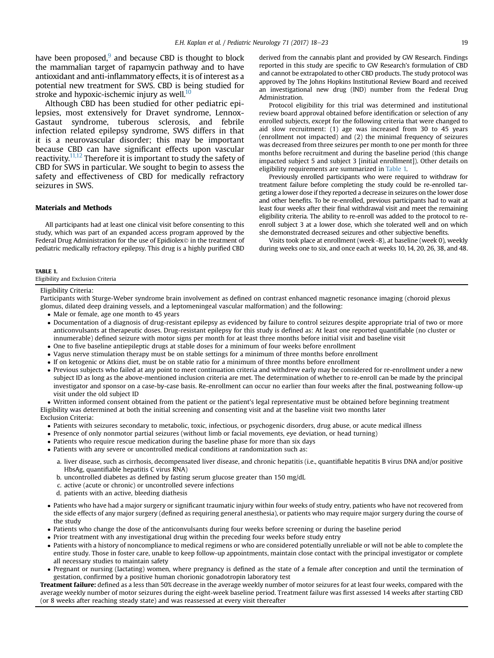have been proposed, $9$  and because CBD is thought to block the mammalian target of rapamycin pathway and to have antioxidant and anti-inflammatory effects, it is of interest as a potential new treatment for SWS. CBD is being studied for stroke and hypoxic-ischemic injury as well. $^{10}$ 

Although CBD has been studied for other pediatric epilepsies, most extensively for Dravet syndrome, Lennox-Gastaut syndrome, tuberous sclerosis, and febrile infection related epilepsy syndrome, SWS differs in that it is a neurovascular disorder; this may be important because CBD can have significant effects upon vascular reactivity.<sup>11,12</sup> Therefore it is important to study the safety of CBD for SWS in particular. We sought to begin to assess the safety and effectiveness of CBD for medically refractory seizures in SWS.

#### Materials and Methods

All participants had at least one clinical visit before consenting to this study, which was part of an expanded access program approved by the Federal Drug Administration for the use of Epidiolex<sup>®</sup> in the treatment of pediatric medically refractory epilepsy. This drug is a highly purified CBD

derived from the cannabis plant and provided by GW Research. Findings reported in this study are specific to GW Research's formulation of CBD and cannot be extrapolated to other CBD products. The study protocol was approved by The Johns Hopkins Institutional Review Board and received an investigational new drug (IND) number from the Federal Drug Administration.

Protocol eligibility for this trial was determined and institutional review board approval obtained before identification or selection of any enrolled subjects, except for the following criteria that were changed to aid slow recruitment: (1) age was increased from 30 to 45 years (enrollment not impacted) and (2) the minimal frequency of seizures was decreased from three seizures per month to one per month for three months before recruitment and during the baseline period (this change impacted subject 5 and subject 3 [initial enrollment]). Other details on eligibility requirements are summarized in Table 1.

Previously enrolled participants who were required to withdraw for treatment failure before completing the study could be re-enrolled targeting a lower dose if they reported a decrease in seizures on the lower dose and other benefits. To be re-enrolled, previous participants had to wait at least four weeks after their final withdrawal visit and meet the remaining eligibility criteria. The ability to re-enroll was added to the protocol to reenroll subject 3 at a lower dose, which she tolerated well and on which she demonstrated decreased seizures and other subjective benefits.

Visits took place at enrollment (week -8), at baseline (week 0), weekly during weeks one to six, and once each at weeks 10, 14, 20, 26, 38, and 48.

#### TABLE 1.

Eligibility and Exclusion Criteria

#### Eligibility Criteria:

Participants with Sturge-Weber syndrome brain involvement as defined on contrast enhanced magnetic resonance imaging (choroid plexus glomus, dilated deep draining vessels, and a leptomeningeal vascular malformation) and the following:

- Male or female, age one month to 45 years
- Documentation of a diagnosis of drug-resistant epilepsy as evidenced by failure to control seizures despite appropriate trial of two or more anticonvulsants at therapeutic doses. Drug-resistant epilepsy for this study is defined as: At least one reported quantifiable (no cluster or innumerable) defined seizure with motor signs per month for at least three months before initial visit and baseline visit
- One to five baseline antiepileptic drugs at stable doses for a minimum of four weeks before enrollment
- Vagus nerve stimulation therapy must be on stable settings for a minimum of three months before enrollment
- If on ketogenic or Atkins diet, must be on stable ratio for a minimum of three months before enrollment
- Previous subjects who failed at any point to meet continuation criteria and withdrew early may be considered for re-enrollment under a new subject ID as long as the above-mentioned inclusion criteria are met. The determination of whether to re-enroll can be made by the principal investigator and sponsor on a case-by-case basis. Re-enrollment can occur no earlier than four weeks after the final, postweaning follow-up visit under the old subject ID

 Written informed consent obtained from the patient or the patient's legal representative must be obtained before beginning treatment Eligibility was determined at both the initial screening and consenting visit and at the baseline visit two months later

Exclusion Criteria:

- Patients with seizures secondary to metabolic, toxic, infectious, or psychogenic disorders, drug abuse, or acute medical illness
- Presence of only nonmotor partial seizures (without limb or facial movements, eye deviation, or head turning)
- Patients who require rescue medication during the baseline phase for more than six days
- Patients with any severe or uncontrolled medical conditions at randomization such as:
	- a. liver disease, such as cirrhosis, decompensated liver disease, and chronic hepatitis (i.e., quantifiable hepatitis B virus DNA and/or positive HbsAg, quantifiable hepatitis C virus RNA)
	- b. uncontrolled diabetes as defined by fasting serum glucose greater than 150 mg/dL
	- c. active (acute or chronic) or uncontrolled severe infections
	- d. patients with an active, bleeding diathesis
- Patients who have had a major surgery or significant traumatic injury within four weeks of study entry, patients who have not recovered from the side effects of any major surgery (defined as requiring general anesthesia), or patients who may require major surgery during the course of the study
- Patients who change the dose of the anticonvulsants during four weeks before screening or during the baseline period
- Prior treatment with any investigational drug within the preceding four weeks before study entry
- Patients with a history of noncompliance to medical regimens or who are considered potentially unreliable or will not be able to complete the entire study. Those in foster care, unable to keep follow-up appointments, maintain close contact with the principal investigator or complete all necessary studies to maintain safety
- Pregnant or nursing (lactating) women, where pregnancy is defined as the state of a female after conception and until the termination of gestation, confirmed by a positive human chorionic gonadotropin laboratory test

Treatment failure: defined as a less than 50% decrease in the average weekly number of motor seizures for at least four weeks, compared with the average weekly number of motor seizures during the eight-week baseline period. Treatment failure was first assessed 14 weeks after starting CBD (or 8 weeks after reaching steady state) and was reassessed at every visit thereafter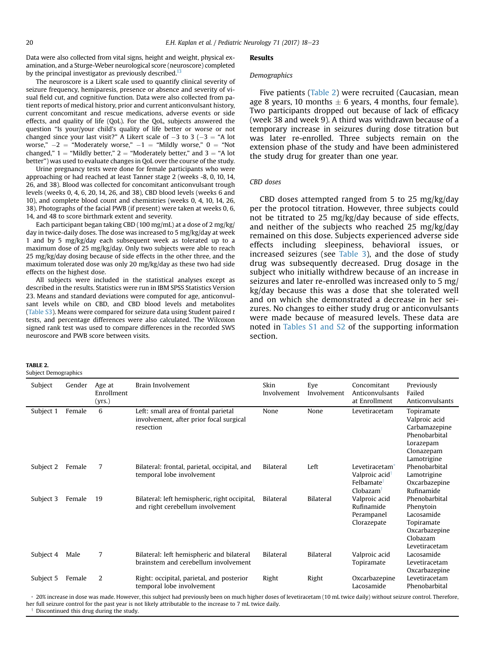TABLE 2.

Subject Demographics

<span id="page-2-0"></span>Data were also collected from vital signs, height and weight, physical examination, and a Sturge-Weber neurological score (neuroscore) completed by the principal investigator as previously described. $^{13}$  $^{13}$  $^{13}$ 

The neuroscore is a Likert scale used to quantify clinical severity of seizure frequency, hemiparesis, presence or absence and severity of visual field cut, and cognitive function. Data were also collected from patient reports of medical history, prior and current anticonvulsant history, current concomitant and rescue medications, adverse events or side effects, and quality of life (QoL). For the QoL, subjects answered the question "Is your/your child's quality of life better or worse or not changed since your last visit?" A Likert scale of  $-3$  to 3 ( $-3$  = "A lot worse,"  $-2 =$  "Moderately worse,"  $-1 =$  "Mildly worse,"  $0 =$  "Not changed,"  $1 =$  "Mildly better,"  $2 =$  "Moderately better," and  $3 =$  "A lot better") was used to evaluate changes in QoL over the course of the study.

Urine pregnancy tests were done for female participants who were approaching or had reached at least Tanner stage 2 (weeks -8, 0, 10, 14, 26, and 38). Blood was collected for concomitant anticonvulsant trough levels (weeks 0, 4, 6, 20, 14, 26, and 38), CBD blood levels (weeks 6 and 10), and complete blood count and chemistries (weeks 0, 4, 10, 14, 26, 38). Photographs of the facial PWB (if present) were taken at weeks 0, 6, 14, and 48 to score birthmark extent and severity.

Each participant began taking CBD (100 mg/mL) at a dose of 2 mg/kg/ day in twice-daily doses. The dose was increased to 5 mg/kg/day at week 1 and by 5 mg/kg/day each subsequent week as tolerated up to a maximum dose of 25 mg/kg/day. Only two subjects were able to reach 25 mg/kg/day dosing because of side effects in the other three, and the maximum tolerated dose was only 20 mg/kg/day as these two had side effects on the highest dose.

All subjects were included in the statistical analyses except as described in the results. Statistics were run in IBM SPSS Statistics Version 23. Means and standard deviations were computed for age, anticonvulsant levels while on CBD, and CBD blood levels and metabolites [\(Table S3\)](#page-7-0). Means were compared for seizure data using Student paired  $t$ tests, and percentage differences were also calculated. The Wilcoxon signed rank test was used to compare differences in the recorded SWS neuroscore and PWB score between visits.

#### Results

#### Demographics

Five patients (Table 2) were recruited (Caucasian, mean age 8 years, 10 months  $\pm$  6 years, 4 months, four female). Two participants dropped out because of lack of efficacy (week 38 and week 9). A third was withdrawn because of a temporary increase in seizures during dose titration but was later re-enrolled. Three subjects remain on the extension phase of the study and have been administered the study drug for greater than one year.

## CBD doses

CBD doses attempted ranged from 5 to 25 mg/kg/day per the protocol titration. However, three subjects could not be titrated to 25 mg/kg/day because of side effects, and neither of the subjects who reached 25 mg/kg/day remained on this dose. Subjects experienced adverse side effects including sleepiness, behavioral issues, or increased seizures (see [Table 3\)](#page-3-0), and the dose of study drug was subsequently decreased. Drug dosage in the subject who initially withdrew because of an increase in seizures and later re-enrolled was increased only to 5 mg/ kg/day because this was a dose that she tolerated well and on which she demonstrated a decrease in her seizures. No changes to either study drug or anticonvulsants were made because of measured levels. These data are noted in [Tables S1 and S2](#page-6-0) of the supporting information section.

| Subject   | Gender<br>Age at<br>Enrollment<br>(yrs.) | Brain Involvement                                                                            | Skin<br>Involvement | Eye<br>Involvement | Concomitant<br>Anticonvulsants<br>at Enrollment                                                | Previously<br>Failed<br>Anticonvulsants                                                                 |
|-----------|------------------------------------------|----------------------------------------------------------------------------------------------|---------------------|--------------------|------------------------------------------------------------------------------------------------|---------------------------------------------------------------------------------------------------------|
| Subject 1 | 6<br>Female                              | Left: small area of frontal parietal<br>involvement, after prior focal surgical<br>resection | None                | None               | Levetiracetam                                                                                  | Topiramate<br>Valproic acid<br>Carbamazepine<br>Phenobarbital<br>Lorazepam<br>Clonazepam<br>Lamotrigine |
| Subject 2 | Female<br>7                              | Bilateral: frontal, parietal, occipital, and<br>temporal lobe involvement                    | Bilateral           | Left               | Levetiracetam <sup>*</sup><br>Valproic acid <sup>†</sup><br>Felbamate <sup>t</sup><br>Clobazam | Phenobarbital<br>Lamotrigine<br>Oxcarbazepine<br>Rufinamide                                             |
| Subject 3 | Female<br>19                             | Bilateral: left hemispheric, right occipital,<br>and right cerebellum involvement            | Bilateral           | <b>Bilateral</b>   | Valproic acid<br>Rufinamide<br>Perampanel<br>Clorazepate                                       | Phenobarbital<br>Phenytoin<br>Lacosamide<br>Topiramate<br>Oxcarbazepine<br>Clobazam<br>Levetiracetam    |
| Subject 4 | 7<br>Male                                | Bilateral: left hemispheric and bilateral<br>brainstem and cerebellum involvement            | <b>Bilateral</b>    | <b>Bilateral</b>   | Valproic acid<br>Topiramate                                                                    | Lacosamide<br>Levetiracetam<br>Oxcarbazepine                                                            |
| Subject 5 | 2<br>Female                              | Right: occipital, parietal, and posterior<br>temporal lobe involvement                       | Right               | Right              | Oxcarbazepine<br>Lacosamide                                                                    | Levetiracetam<br>Phenobarbital                                                                          |

20% increase in dose was made. However, this subject had previously been on much higher doses of levetiracetam (10 mL twice daily) without seizure control. Therefore, her full seizure control for the past year is not likely attributable to the increase to 7 mL twice daily. Discontinued this drug during the study.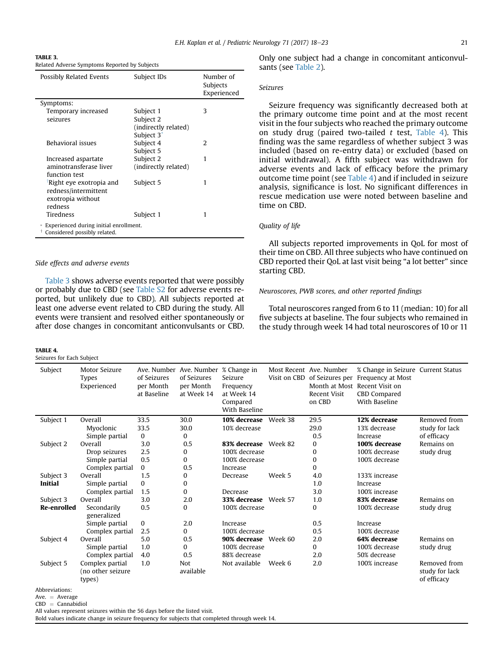<span id="page-3-0"></span>

Related Adverse Symptoms Reported by Subjects

| Possibly Related Events                                                | Subject IDs            | Number of<br>Subjects<br>Experienced |  |  |  |
|------------------------------------------------------------------------|------------------------|--------------------------------------|--|--|--|
| Symptoms:                                                              |                        |                                      |  |  |  |
| Temporary increased                                                    | Subject 1              | 3                                    |  |  |  |
| seizures                                                               | Subject 2              |                                      |  |  |  |
|                                                                        | (indirectly related)   |                                      |  |  |  |
|                                                                        | Subject 3 <sup>*</sup> |                                      |  |  |  |
| Behavioral issues                                                      | Subject 4              | $\mathcal{L}$                        |  |  |  |
|                                                                        | Subject 5              |                                      |  |  |  |
| Increased aspartate                                                    | Subject 2              | 1                                    |  |  |  |
| aminotransferase liver                                                 | (indirectly related)   |                                      |  |  |  |
| function test                                                          |                        |                                      |  |  |  |
| Right eye exotropia and                                                | Subject 5              | 1                                    |  |  |  |
| redness/intermittent                                                   |                        |                                      |  |  |  |
| exotropia without                                                      |                        |                                      |  |  |  |
| redness                                                                |                        |                                      |  |  |  |
| Tiredness                                                              | Subject 1              | 1                                    |  |  |  |
| Experienced during initial enrollment.<br>Considered possibly related. |                        |                                      |  |  |  |

#### Side effects and adverse events

Table 3 shows adverse events reported that were possibly or probably due to CBD (see [Table S2](#page-6-0) for adverse events reported, but unlikely due to CBD). All subjects reported at least one adverse event related to CBD during the study. All events were transient and resolved either spontaneously or after dose changes in concomitant anticonvulsants or CBD.

#### TARI F 4

Seizures for Each Subject

Only one subject had a change in concomitant anticonvulsants (see [Table 2](#page-2-0)).

## Seizures

Seizure frequency was significantly decreased both at the primary outcome time point and at the most recent visit in the four subjects who reached the primary outcome on study drug (paired two-tailed  $t$  test, Table 4). This finding was the same regardless of whether subject 3 was included (based on re-entry data) or excluded (based on initial withdrawal). A fifth subject was withdrawn for adverse events and lack of efficacy before the primary outcome time point (see Table 4) and if included in seizure analysis, significance is lost. No significant differences in rescue medication use were noted between baseline and time on CBD.

## Quality of life

All subjects reported improvements in QoL for most of their time on CBD. All three subjects who have continued on CBD reported their QoL at last visit being "a lot better" since starting CBD.

#### Neuroscores, PWB scores, and other reported findings

Total neuroscores ranged from 6 to 11 (median: 10) for all five subjects at baseline. The four subjects who remained in the study through week 14 had total neuroscores of 10 or 11

| Subject                     | Motor Seizure<br>Types<br>Experienced          | of Seizures<br>per Month<br>at Baseline | Ave. Number Ave. Number % Change in<br>of Seizures<br>per Month<br>at Week 14 | Seizure<br>Frequency<br>at Week 14<br>Compared<br>With Baseline |         | Most Recent Ave. Number<br>Recent Visit<br>on CBD | % Change in Seizure Current Status<br>Visit on CBD of Seizures per Frequency at Most<br>Month at Most Recent Visit on<br>CBD Compared<br>With Baseline |                                               |
|-----------------------------|------------------------------------------------|-----------------------------------------|-------------------------------------------------------------------------------|-----------------------------------------------------------------|---------|---------------------------------------------------|--------------------------------------------------------------------------------------------------------------------------------------------------------|-----------------------------------------------|
| Subject 1                   | Overall                                        | 33.5                                    | 30.0                                                                          | 10% decrease Week 38                                            |         | 29.5                                              | 12% decrease                                                                                                                                           | Removed from                                  |
|                             | Myoclonic                                      | 33.5                                    | 30.0                                                                          | 10% decrease                                                    |         | 29.0                                              | 13% decrease                                                                                                                                           | study for lack                                |
|                             | Simple partial                                 | 0                                       | $\Omega$                                                                      |                                                                 |         | 0.5                                               | Increase                                                                                                                                               | of efficacy                                   |
| Subject 2                   | Overall                                        | 3.0                                     | 0.5                                                                           | 83% decrease Week 82                                            |         | 0                                                 | 100% decrease                                                                                                                                          | Remains on                                    |
|                             | Drop seizures                                  | 2.5                                     | 0                                                                             | 100% decrease                                                   |         | 0                                                 | 100% decrease                                                                                                                                          | study drug                                    |
|                             | Simple partial                                 | 0.5                                     | 0                                                                             | 100% decrease                                                   |         | $\mathbf{0}$                                      | 100% decrease                                                                                                                                          |                                               |
|                             | Complex partial                                | $\Omega$                                | 0.5                                                                           | Increase                                                        |         | $\mathbf{0}$                                      |                                                                                                                                                        |                                               |
| Subject 3                   | Overall                                        | 1.5                                     | 0                                                                             | Decrease                                                        | Week 5  | 4.0                                               | 133% increase                                                                                                                                          |                                               |
| Initial                     | Simple partial                                 | 0                                       | 0                                                                             |                                                                 |         | 1.0                                               | Increase                                                                                                                                               |                                               |
|                             | Complex partial                                | 1.5                                     | 0                                                                             | Decrease                                                        |         | 3.0                                               | 100% increase                                                                                                                                          |                                               |
| Subject 3                   | Overall                                        | 3.0                                     | 2.0                                                                           | 33% decrease Week 57                                            |         | 1.0                                               | 83% decrease                                                                                                                                           | Remains on                                    |
| Re-enrolled                 | Secondarily<br>generalized                     | 0.5                                     | 0                                                                             | 100% decrease                                                   |         | 0                                                 | 100% decrease                                                                                                                                          | study drug                                    |
|                             | Simple partial                                 | 0                                       | 2.0                                                                           | Increase                                                        |         | 0.5                                               | Increase                                                                                                                                               |                                               |
|                             | Complex partial                                | 2.5                                     | 0                                                                             | 100% decrease                                                   |         | 0.5                                               | 100% decrease                                                                                                                                          |                                               |
| Subject 4                   | Overall                                        | 5.0                                     | 0.5                                                                           | 90% decrease                                                    | Week 60 | 2.0                                               | 64% decrease                                                                                                                                           | Remains on                                    |
|                             | Simple partial                                 | 1.0                                     | 0                                                                             | 100% decrease                                                   |         | 0                                                 | 100% decrease                                                                                                                                          | study drug                                    |
|                             | Complex partial                                | 4.0                                     | 0.5                                                                           | 88% decrease                                                    |         | 2.0                                               | 50% decrease                                                                                                                                           |                                               |
| Subject 5<br>Abbrovistions: | Complex partial<br>(no other seizure<br>types) | 1.0                                     | <b>Not</b><br>available                                                       | Not available                                                   | Week 6  | 2.0                                               | 100% increase                                                                                                                                          | Removed from<br>study for lack<br>of efficacy |

Abbreviations:

Ave.  $=$  Average

 $CBD = Cannabidiol$ 

All values represent seizures within the 56 days before the listed visit.

Bold values indicate change in seizure frequency for subjects that completed through week 14.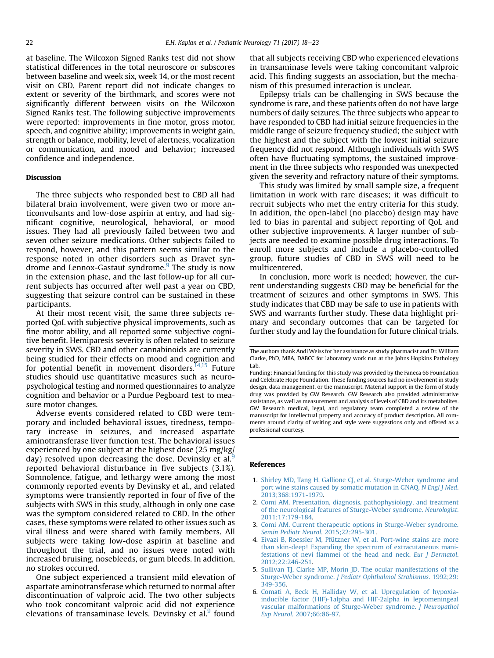<span id="page-4-0"></span>at baseline. The Wilcoxon Signed Ranks test did not show statistical differences in the total neuroscore or subscores between baseline and week six, week 14, or the most recent visit on CBD. Parent report did not indicate changes to extent or severity of the birthmark, and scores were not significantly different between visits on the Wilcoxon Signed Ranks test. The following subjective improvements were reported: improvements in fine motor, gross motor, speech, and cognitive ability; improvements in weight gain, strength or balance, mobility, level of alertness, vocalization or communication, and mood and behavior; increased confidence and independence.

## Discussion

The three subjects who responded best to CBD all had bilateral brain involvement, were given two or more anticonvulsants and low-dose aspirin at entry, and had significant cognitive, neurological, behavioral, or mood issues. They had all previously failed between two and seven other seizure medications. Other subjects failed to respond, however, and this pattern seems similar to the response noted in other disorders such as Dravet syn-drome and Lennox-Gastaut syndrome.<sup>[9](#page-5-0)</sup> The study is now in the extension phase, and the last follow-up for all current subjects has occurred after well past a year on CBD, suggesting that seizure control can be sustained in these participants.

At their most recent visit, the same three subjects reported QoL with subjective physical improvements, such as fine motor ability, and all reported some subjective cognitive benefit. Hemiparesis severity is often related to seizure severity in SWS. CBD and other cannabinoids are currently being studied for their effects on mood and cognition and for potential benefit in movement disorders. $^{14,15}$  $^{14,15}$  $^{14,15}$  Future studies should use quantitative measures such as neuropsychological testing and normed questionnaires to analyze cognition and behavior or a Purdue Pegboard test to measure motor changes.

Adverse events considered related to CBD were temporary and included behavioral issues, tiredness, temporary increase in seizures, and increased aspartate aminotransferase liver function test. The behavioral issues experienced by one subject at the highest dose (25 mg/kg/ day) resolved upon decreasing the dose. Devinsky et al. $9$ reported behavioral disturbance in five subjects (3.1%). Somnolence, fatigue, and lethargy were among the most commonly reported events by Devinsky et al., and related symptoms were transiently reported in four of five of the subjects with SWS in this study, although in only one case was the symptom considered related to CBD. In the other cases, these symptoms were related to other issues such as viral illness and were shared with family members. All subjects were taking low-dose aspirin at baseline and throughout the trial, and no issues were noted with increased bruising, nosebleeds, or gum bleeds. In addition, no strokes occurred.

One subject experienced a transient mild elevation of aspartate aminotransferase which returned to normal after discontinuation of valproic acid. The two other subjects who took concomitant valproic acid did not experience elevations of transaminase levels. Devinsky et al.<sup>[9](#page-5-0)</sup> found

that all subjects receiving CBD who experienced elevations in transaminase levels were taking concomitant valproic acid. This finding suggests an association, but the mechanism of this presumed interaction is unclear.

Epilepsy trials can be challenging in SWS because the syndrome is rare, and these patients often do not have large numbers of daily seizures. The three subjects who appear to have responded to CBD had initial seizure frequencies in the middle range of seizure frequency studied; the subject with the highest and the subject with the lowest initial seizure frequency did not respond. Although individuals with SWS often have fluctuating symptoms, the sustained improvement in the three subjects who responded was unexpected given the severity and refractory nature of their symptoms.

This study was limited by small sample size, a frequent limitation in work with rare diseases; it was difficult to recruit subjects who met the entry criteria for this study. In addition, the open-label (no placebo) design may have led to bias in parental and subject reporting of QoL and other subjective improvements. A larger number of subjects are needed to examine possible drug interactions. To enroll more subjects and include a placebo-controlled group, future studies of CBD in SWS will need to be multicentered.

In conclusion, more work is needed; however, the current understanding suggests CBD may be beneficial for the treatment of seizures and other symptoms in SWS. This study indicates that CBD may be safe to use in patients with SWS and warrants further study. These data highlight primary and secondary outcomes that can be targeted for further study and lay the foundation for future clinical trials.

## References

- 1. [Shirley MD, Tang H, Gallione CJ, et al. Sturge-Weber syndrome and](http://refhub.elsevier.com/S0887-8994(17)30053-X/sref1) [port wine stains caused by somatic mutation in GNAQ.](http://refhub.elsevier.com/S0887-8994(17)30053-X/sref1) N Engl J Med. [2013;368:1971-1979](http://refhub.elsevier.com/S0887-8994(17)30053-X/sref1).
- 2. [Comi AM. Presentation, diagnosis, pathophysiology, and treatment](http://refhub.elsevier.com/S0887-8994(17)30053-X/sref2) [of the neurological features of Sturge-Weber syndrome.](http://refhub.elsevier.com/S0887-8994(17)30053-X/sref2) Neurologist. [2011;17:179-184](http://refhub.elsevier.com/S0887-8994(17)30053-X/sref2).
- 3. [Comi AM. Current therapeutic options in Sturge-Weber syndrome.](http://refhub.elsevier.com/S0887-8994(17)30053-X/sref3) [Semin Pediatr Neurol](http://refhub.elsevier.com/S0887-8994(17)30053-X/sref3). 2015;22:295-301.
- 4. [Eivazi B, Roessler M, Pfützner W, et al. Port-wine stains are more](http://refhub.elsevier.com/S0887-8994(17)30053-X/sref4) [than skin-deep! Expanding the spectrum of extracutaneous mani](http://refhub.elsevier.com/S0887-8994(17)30053-X/sref4)festations of nevi fl[ammei of the head and neck.](http://refhub.elsevier.com/S0887-8994(17)30053-X/sref4) Eur J Dermatol. [2012;22:246-251](http://refhub.elsevier.com/S0887-8994(17)30053-X/sref4).
- 5. [Sullivan TJ, Clarke MP, Morin JD. The ocular manifestations of the](http://refhub.elsevier.com/S0887-8994(17)30053-X/sref5) Sturge-Weber syndrome. [J Pediatr Ophthalmol Strabismus](http://refhub.elsevier.com/S0887-8994(17)30053-X/sref5). 1992;29: [349-356](http://refhub.elsevier.com/S0887-8994(17)30053-X/sref5).
- 6. [Comati A, Beck H, Halliday W, et al. Upregulation of hypoxia](http://refhub.elsevier.com/S0887-8994(17)30053-X/sref6)[inducible factor \(HIF\)-1alpha and HIF-2alpha in leptomeningeal](http://refhub.elsevier.com/S0887-8994(17)30053-X/sref6) [vascular malformations of Sturge-Weber syndrome.](http://refhub.elsevier.com/S0887-8994(17)30053-X/sref6) J Neuropathol Exp Neurol[. 2007;66:86-97.](http://refhub.elsevier.com/S0887-8994(17)30053-X/sref6)

The authors thank Andi Weiss for her assistance as study pharmacist and Dr. William Clarke, PhD, MBA, DABCC for laboratory work run at the Johns Hopkins Pathology Lab.

Funding: Financial funding for this study was provided by the Faneca 66 Foundation and Celebrate Hope Foundation. These funding sources had no involvement in study design, data management, or the manuscript. Material support in the form of study drug was provided by GW Research. GW Research also provided administrative assistance, as well as measurement and analysis of levels of CBD and its metabolites. GW Research medical, legal, and regulatory team completed a review of the manuscript for intellectual property and accuracy of product description. All comments around clarity of writing and style were suggestions only and offered as a professional courtesy.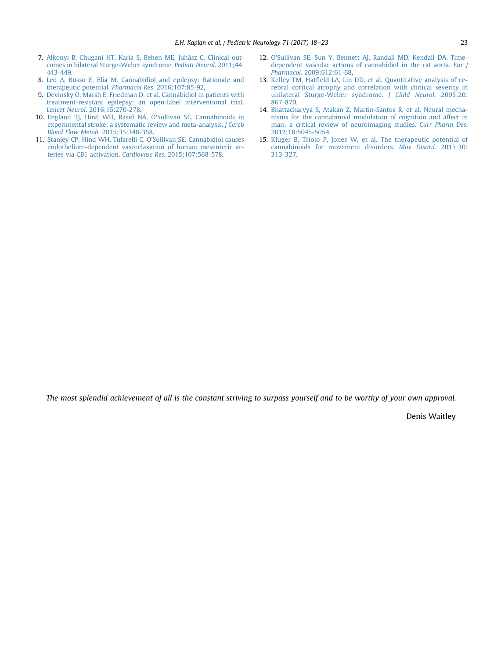- <span id="page-5-0"></span>7. [Alkonyi B, Chugani HT, Karia S, Behen ME, Juhász C. Clinical out](http://refhub.elsevier.com/S0887-8994(17)30053-X/sref7)[comes in bilateral Sturge-Weber syndrome.](http://refhub.elsevier.com/S0887-8994(17)30053-X/sref7) Pediatr Neurol. 2011;44: [443-449.](http://refhub.elsevier.com/S0887-8994(17)30053-X/sref7)
- 8. [Leo A, Russo E, Elia M. Cannabidiol and epilepsy: Rationale and](http://refhub.elsevier.com/S0887-8994(17)30053-X/sref8) [therapeutic potential.](http://refhub.elsevier.com/S0887-8994(17)30053-X/sref8) Pharmacol Res. 2016;107:85-92.
- 9. [Devinsky O, Marsh E, Friedman D, et al. Cannabidiol in patients with](http://refhub.elsevier.com/S0887-8994(17)30053-X/sref9) [treatment-resistant epilepsy: an open-label interventional trial.](http://refhub.elsevier.com/S0887-8994(17)30053-X/sref9) Lancet Neurol[. 2016;15:270-278](http://refhub.elsevier.com/S0887-8994(17)30053-X/sref9).
- 10. [England TJ, Hind WH, Rasid NA, O](http://refhub.elsevier.com/S0887-8994(17)30053-X/sref10)'Sullivan SE. Cannabinoids in [experimental stroke: a systematic review and meta-analysis.](http://refhub.elsevier.com/S0887-8994(17)30053-X/sref10) J Cereb Blood Flow Metab[. 2015;35:348-358.](http://refhub.elsevier.com/S0887-8994(17)30053-X/sref10)
- 11. [Stanley CP, Hind WH, Tufarelli C, O](http://refhub.elsevier.com/S0887-8994(17)30053-X/sref11)'Sullivan SE. Cannabidiol causes [endothelium-dependent vasorelaxation of human mesenteric ar](http://refhub.elsevier.com/S0887-8994(17)30053-X/sref11)[teries via CB1 activation.](http://refhub.elsevier.com/S0887-8994(17)30053-X/sref11) Cardiovasc Res. 2015;107:568-578.
- 12. O'[Sullivan SE, Sun Y, Bennett AJ, Randall MD, Kendall DA. Time](http://refhub.elsevier.com/S0887-8994(17)30053-X/sref12)[dependent vascular actions of cannabidiol in the rat aorta.](http://refhub.elsevier.com/S0887-8994(17)30053-X/sref12) Eur J Pharmacol[. 2009;612:61-68.](http://refhub.elsevier.com/S0887-8994(17)30053-X/sref12)
- 13. Kelley TM, Hatfi[eld LA, Lin DD, et al. Quantitative analysis of ce](http://refhub.elsevier.com/S0887-8994(17)30053-X/sref13)[rebral cortical atrophy and correlation with clinical severity in](http://refhub.elsevier.com/S0887-8994(17)30053-X/sref13) [unilateral Sturge-Weber syndrome.](http://refhub.elsevier.com/S0887-8994(17)30053-X/sref13) J Child Neurol. 2005;20: [867-870](http://refhub.elsevier.com/S0887-8994(17)30053-X/sref13).
- 14. [Bhattacharyya S, Atakan Z, Martin-Santos R, et al. Neural mecha](http://refhub.elsevier.com/S0887-8994(17)30053-X/sref14)[nisms for the cannabinoid modulation of cognition and affect in](http://refhub.elsevier.com/S0887-8994(17)30053-X/sref14) [man: a critical review of neuroimaging studies.](http://refhub.elsevier.com/S0887-8994(17)30053-X/sref14) Curr Pharm Des. [2012;18:5045-5054.](http://refhub.elsevier.com/S0887-8994(17)30053-X/sref14)
- 15. [Kluger B, Triolo P, Jones W, et al. The therapeutic potential of](http://refhub.elsevier.com/S0887-8994(17)30053-X/sref15) [cannabinoids for movement disorders.](http://refhub.elsevier.com/S0887-8994(17)30053-X/sref15) Mov Disord. 2015;30: [313-327](http://refhub.elsevier.com/S0887-8994(17)30053-X/sref15).

The most splendid achievement of all is the constant striving to surpass yourself and to be worthy of your own approval.

Denis Waitley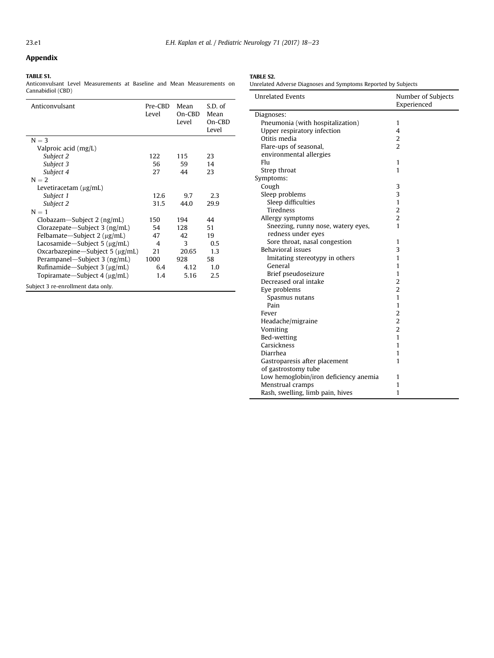## <span id="page-6-0"></span>Appendix

#### TABLE S1.

Anticonvulsant Level Measurements at Baseline and Mean Measurements on Cannabidiol (CBD)

| Anticonvulsant                          | Pre-CBD<br>Level | Mean<br>$On-CBD$<br>Level | S.D. of<br>Mean<br>On-CBD<br>Level |
|-----------------------------------------|------------------|---------------------------|------------------------------------|
| $N = 3$                                 |                  |                           |                                    |
| Valproic acid (mg/L)                    |                  |                           |                                    |
| Subject 2                               | 122              | 115                       | 23                                 |
| Subject 3                               | 56               | 59                        | 14                                 |
| Subject 4                               | 27               | 44                        | 23                                 |
| $N = 2$                                 |                  |                           |                                    |
| Levetiracetam (µg/mL)                   |                  |                           |                                    |
| Subject 1                               | 12.6             | 9.7                       | 2.3                                |
| Subject 2                               | 31.5             | 44.0                      | 29.9                               |
| $N = 1$                                 |                  |                           |                                    |
| Clobazam—Subject 2 $(ng/mL)$            | 150              | 194                       | 44                                 |
| Clorazepate—Subject $3$ (ng/mL)         | 54               | 128                       | 51                                 |
| Felbamate-Subject 2 (µg/mL)             | 47               | 42                        | 19                                 |
| Lacosamide—Subject 5 $\mu$ g/mL)        | 4                | 3                         | 0.5                                |
| Oxcarbazepine-Subject $5 \, (\mu g/mL)$ | 21               | 20.65                     | 1.3                                |
| Perampanel—Subject 3 (ng/mL)            | 1000             | 928                       | 58                                 |
| Rufinamide-Subject $3 \text{ (µg/mL)}$  | 6.4              | 4.12                      | 1.0                                |
| Topiramate—Subject 4 (µg/mL)            | 1.4              | 5.16                      | 2.5                                |
| Subject 3 re-enrollment data only.      |                  |                           |                                    |

TABLE S2.

| Unrelated Adverse Diagnoses and Symptoms Reported by Subjects |  |  |  |
|---------------------------------------------------------------|--|--|--|
|                                                               |  |  |  |

| <b>Unrelated Events</b>               | Number of Subjects<br>Experienced |
|---------------------------------------|-----------------------------------|
| Diagnoses:                            |                                   |
| Pneumonia (with hospitalization)      | 1                                 |
| Upper respiratory infection           | $\overline{\mathbf{4}}$           |
| Otitis media                          | 2                                 |
| Flare-ups of seasonal,                | $\overline{a}$                    |
| environmental allergies               |                                   |
| Flu                                   | 1                                 |
| Strep throat                          | 1                                 |
| Symptoms:                             |                                   |
| Cough                                 | 3                                 |
| Sleep problems                        | 3                                 |
| Sleep difficulties                    | $\mathbf{1}$                      |
| <b>Tiredness</b>                      | 2                                 |
| Allergy symptoms                      | $\overline{2}$                    |
| Sneezing, runny nose, watery eyes,    | 1                                 |
| redness under eyes                    |                                   |
| Sore throat, nasal congestion         | 1                                 |
| Behavioral issues                     | 3                                 |
| Imitating stereotypy in others        | 1                                 |
| General                               | 1                                 |
| Brief pseudoseizure                   | $\mathbf{1}$                      |
| Decreased oral intake                 | $\overline{2}$                    |
| Eye problems                          | $\overline{2}$                    |
| Spasmus nutans                        | 1                                 |
| Pain                                  | 1                                 |
| Fever                                 | $\overline{2}$                    |
| Headache/migraine                     | $\overline{2}$                    |
| Vomiting                              | $\overline{2}$                    |
| Bed-wetting                           | 1                                 |
| Carsickness                           | 1                                 |
| Diarrhea                              | 1                                 |
| Gastroparesis after placement         | 1                                 |
| of gastrostomy tube                   |                                   |
| Low hemoglobin/iron deficiency anemia | 1                                 |
| Menstrual cramps                      | 1                                 |
| Rash, swelling, limb pain, hives      | 1                                 |